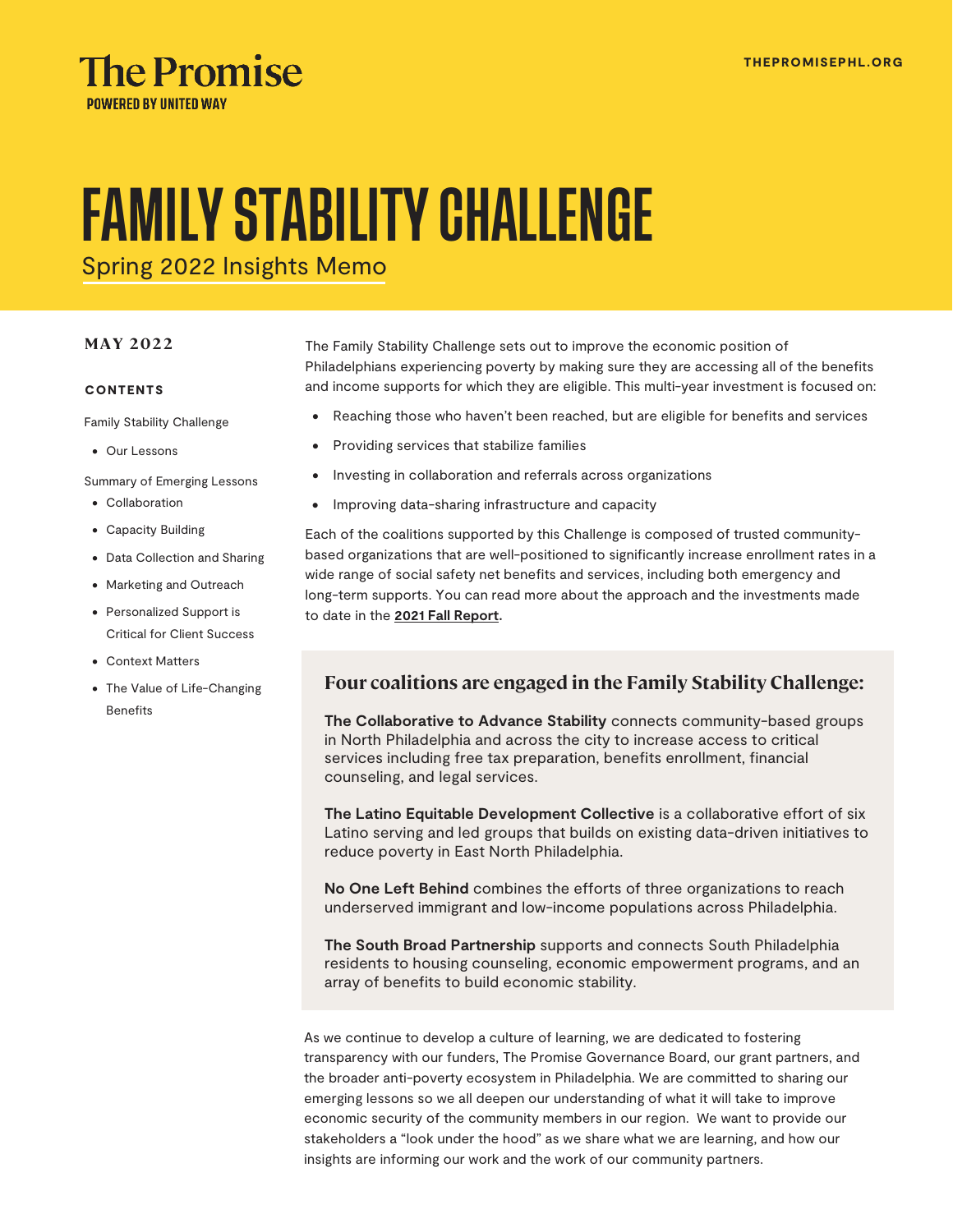

# FAMILY STABILITY CHALLENGE

Spring 2022 Insights Memo

#### **MAY 2022**

#### **CONTENTS**

Family Stability Challenge

• Our Lessons

Summary of Emerging Lessons

- Collaboration
- Capacity Building
- Data Collection and Sharing
- Marketing and Outreach
- Personalized Support is Critical for Client Success
- Context Matters
- The Value of Life-Changing Benefits

The Family Stability Challenge sets out to improve the economic position of Philadelphians experiencing poverty by making sure they are accessing all of the benefits and income supports for which they are eligible. This multi-year investment is focused on:

- Reaching those who haven't been reached, but are eligible for benefits and services
- Providing services that stabilize families
- Investing in collaboration and referrals across organizations
- Improving data-sharing infrastructure and capacity

Each of the coalitions supported by this Challenge is composed of trusted communitybased organizations that are well-positioned to significantly increase enrollment rates in a wide range of social safety net benefits and services, including both emergency and long-term supports. You can read more about the approach and the investments made to date in the **[2021 Fall Report.](https://thepromisephl.org/metrics/)**

#### **Four coalitions are engaged in the Family Stability Challenge:**

**The Collaborative to Advance Stability** connects community-based groups in North Philadelphia and across the city to increase access to critical services including free tax preparation, benefits enrollment, financial counseling, and legal services.

**The Latino Equitable Development Collective** is a collaborative effort of six Latino serving and led groups that builds on existing data-driven initiatives to reduce poverty in East North Philadelphia.

**No One Left Behind** combines the efforts of three organizations to reach underserved immigrant and low-income populations across Philadelphia.

**The South Broad Partnership** supports and connects South Philadelphia residents to housing counseling, economic empowerment programs, and an array of benefits to build economic stability.

As we continue to develop a culture of learning, we are dedicated to fostering transparency with our funders, The Promise Governance Board, our grant partners, and the broader anti-poverty ecosystem in Philadelphia. We are committed to sharing our emerging lessons so we all deepen our understanding of what it will take to improve economic security of the community members in our region. We want to provide our stakeholders a "look under the hood" as we share what we are learning, and how our insights are informing our work and the work of our community partners.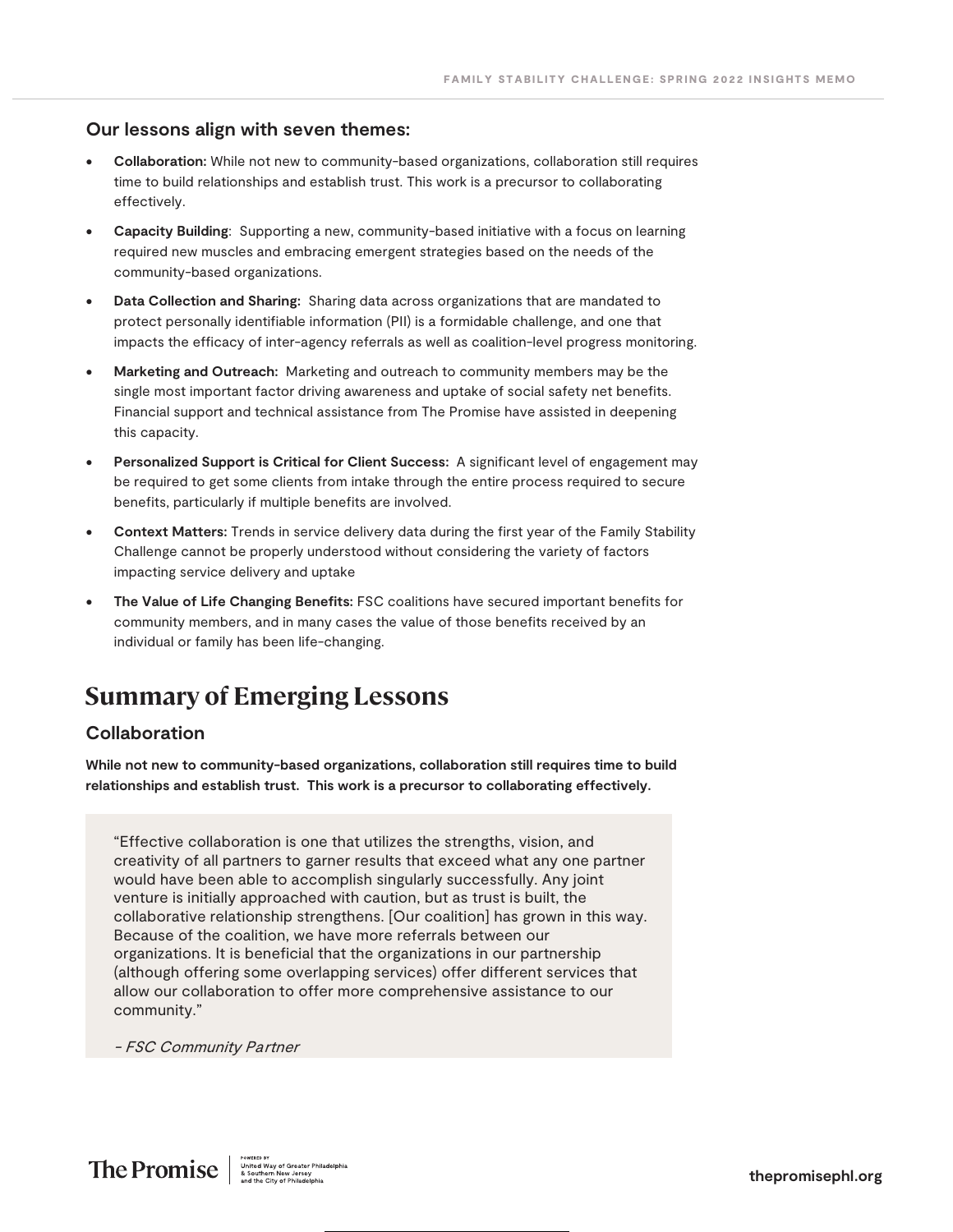#### **Our lessons align with seven themes:**

- **Collaboration:** While not new to community-based organizations, collaboration still requires time to build relationships and establish trust. This work is a precursor to collaborating effectively.
- **Capacity Building**: Supporting a new, community-based initiative with a focus on learning required new muscles and embracing emergent strategies based on the needs of the community-based organizations.
- **Data Collection and Sharing:** Sharing data across organizations that are mandated to protect personally identifiable information (PII) is a formidable challenge, and one that impacts the efficacy of inter-agency referrals as well as coalition-level progress monitoring.
- **Marketing and Outreach:** Marketing and outreach to community members may be the single most important factor driving awareness and uptake of social safety net benefits. Financial support and technical assistance from The Promise have assisted in deepening this capacity.
- **Personalized Support is Critical for Client Success:** A significant level of engagement may be required to get some clients from intake through the entire process required to secure benefits, particularly if multiple benefits are involved.
- **Context Matters:** Trends in service delivery data during the first year of the Family Stability Challenge cannot be properly understood without considering the variety of factors impacting service delivery and uptake
- **The Value of Life Changing Benefits:** FSC coalitions have secured important benefits for community members, and in many cases the value of those benefits received by an individual or family has been life-changing.

## **Summary of Emerging Lessons**

#### **Collaboration**

**While not new to community-based organizations, collaboration still requires time to build relationships and establish trust. This work is a precursor to collaborating effectively.** 

"Effective collaboration is one that utilizes the strengths, vision, and creativity of all partners to garner results that exceed what any one partner would have been able to accomplish singularly successfully. Any joint venture is initially approached with caution, but as trust is built, the collaborative relationship strengthens. [Our coalition] has grown in this way. Because of the coalition, we have more referrals between our organizations. It is beneficial that the organizations in our partnership (although offering some overlapping services) offer different services that allow our collaboration to offer more comprehensive assistance to our community."

- FSC Community Partner

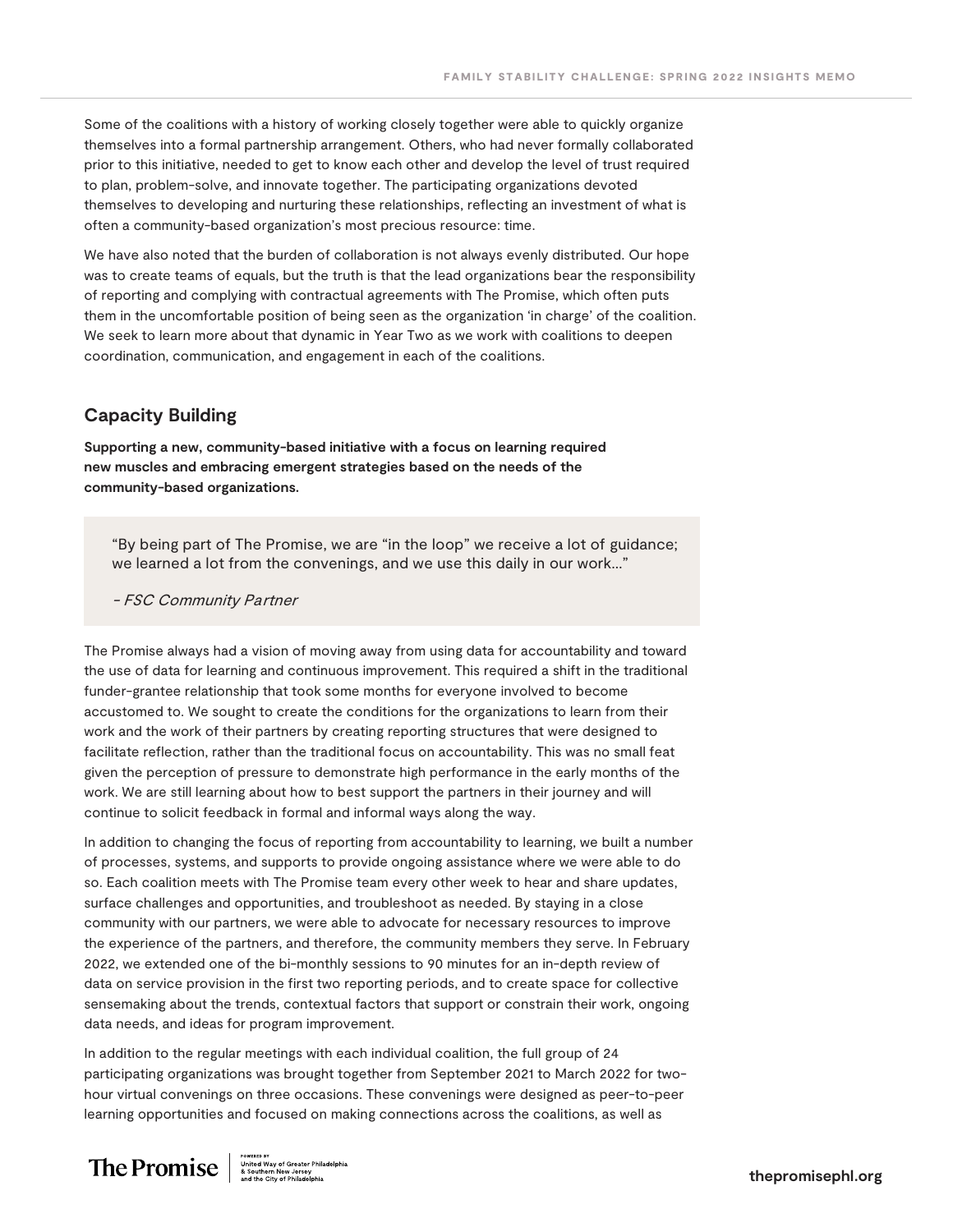Some of the coalitions with a history of working closely together were able to quickly organize themselves into a formal partnership arrangement. Others, who had never formally collaborated prior to this initiative, needed to get to know each other and develop the level of trust required to plan, problem-solve, and innovate together. The participating organizations devoted themselves to developing and nurturing these relationships, reflecting an investment of what is often a community-based organization's most precious resource: time.

We have also noted that the burden of collaboration is not always evenly distributed. Our hope was to create teams of equals, but the truth is that the lead organizations bear the responsibility of reporting and complying with contractual agreements with The Promise, which often puts them in the uncomfortable position of being seen as the organization 'in charge' of the coalition. We seek to learn more about that dynamic in Year Two as we work with coalitions to deepen coordination, communication, and engagement in each of the coalitions.

#### **Capacity Building**

**Supporting a new, community-based initiative with a focus on learning required new muscles and embracing emergent strategies based on the needs of the community-based organizations.**

"By being part of The Promise, we are "in the loop" we receive a lot of guidance; we learned a lot from the convenings, and we use this daily in our work…"

- FSC Community Partner

The Promise always had a vision of moving away from using data for accountability and toward the use of data for learning and continuous improvement. This required a shift in the traditional funder-grantee relationship that took some months for everyone involved to become accustomed to. We sought to create the conditions for the organizations to learn from their work and the work of their partners by creating reporting structures that were designed to facilitate reflection, rather than the traditional focus on accountability. This was no small feat given the perception of pressure to demonstrate high performance in the early months of the work. We are still learning about how to best support the partners in their journey and will continue to solicit feedback in formal and informal ways along the way.

In addition to changing the focus of reporting from accountability to learning, we built a number of processes, systems, and supports to provide ongoing assistance where we were able to do so. Each coalition meets with The Promise team every other week to hear and share updates, surface challenges and opportunities, and troubleshoot as needed. By staying in a close community with our partners, we were able to advocate for necessary resources to improve the experience of the partners, and therefore, the community members they serve. In February 2022, we extended one of the bi-monthly sessions to 90 minutes for an in-depth review of data on service provision in the first two reporting periods, and to create space for collective sensemaking about the trends, contextual factors that support or constrain their work, ongoing data needs, and ideas for program improvement.

In addition to the regular meetings with each individual coalition, the full group of 24 participating organizations was brought together from September 2021 to March 2022 for twohour virtual convenings on three occasions. These convenings were designed as peer-to-peer learning opportunities and focused on making connections across the coalitions, as well as

# $\text{The Promise} \left| \begin{array}{c} \text{ {{\bf P}romise} } \\ \text{{{\bf P}romise} } \end{array} \right| \overset{\text{{{\bf P}owates av}}} {\underset{\text{no~of the low } \text{ of Greater } \text{ {\bf Phliadelphia}}} {\underset{\text{{{\bf N} of Gredter } \text{ Phliadelphia}}} {\underset{\text{}}{{\bf N} of the City of \text{ Phliadelphia}}}$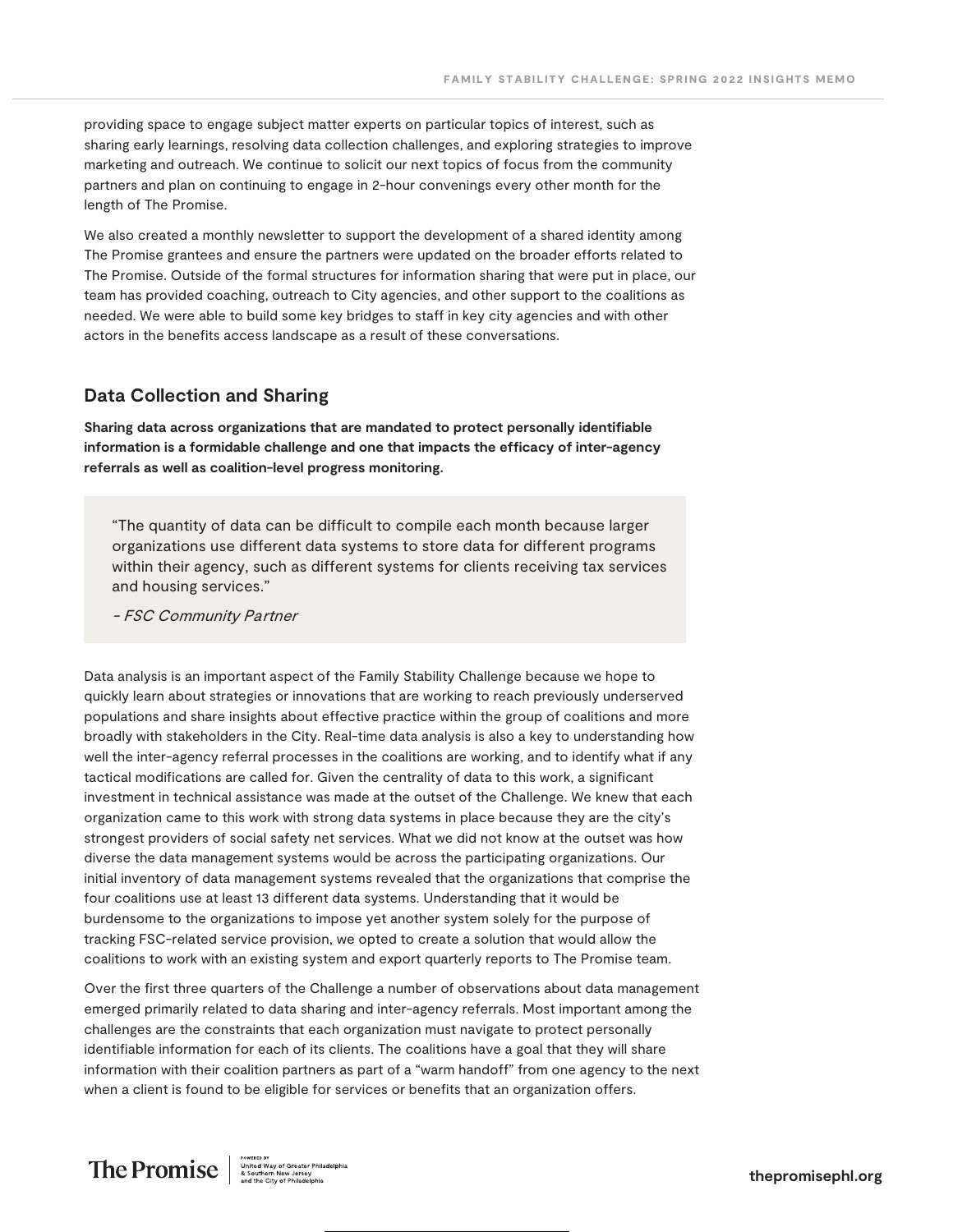providing space to engage subject matter experts on particular topics of interest, such as sharing early learnings, resolving data collection challenges, and exploring strategies to improve marketing and outreach. We continue to solicit our next topics of focus from the community partners and plan on continuing to engage in 2-hour convenings every other month for the length of The Promise.

We also created a monthly newsletter to support the development of a shared identity among The Promise grantees and ensure the partners were updated on the broader efforts related to The Promise. Outside of the formal structures for information sharing that were put in place, our team has provided coaching, outreach to City agencies, and other support to the coalitions as needed. We were able to build some key bridges to staff in key city agencies and with other actors in the benefits access landscape as a result of these conversations.

#### **Data Collection and Sharing**

**Sharing data across organizations that are mandated to protect personally identifiable information is a formidable challenge and one that impacts the efficacy of inter-agency referrals as well as coalition-level progress monitoring.**

"The quantity of data can be difficult to compile each month because larger organizations use different data systems to store data for different programs within their agency, such as different systems for clients receiving tax services and housing services."

- FSC Community Partner

Data analysis is an important aspect of the Family Stability Challenge because we hope to quickly learn about strategies or innovations that are working to reach previously underserved populations and share insights about effective practice within the group of coalitions and more broadly with stakeholders in the City. Real-time data analysis is also a key to understanding how well the inter-agency referral processes in the coalitions are working, and to identify what if any tactical modifications are called for. Given the centrality of data to this work, a significant investment in technical assistance was made at the outset of the Challenge. We knew that each organization came to this work with strong data systems in place because they are the city's strongest providers of social safety net services. What we did not know at the outset was how diverse the data management systems would be across the participating organizations. Our initial inventory of data management systems revealed that the organizations that comprise the four coalitions use at least 13 different data systems. Understanding that it would be burdensome to the organizations to impose yet another system solely for the purpose of tracking FSC-related service provision, we opted to create a solution that would allow the coalitions to work with an existing system and export quarterly reports to The Promise team.

Over the first three quarters of the Challenge a number of observations about data management emerged primarily related to data sharing and inter-agency referrals. Most important among the challenges are the constraints that each organization must navigate to protect personally identifiable information for each of its clients. The coalitions have a goal that they will share information with their coalition partners as part of a "warm handoff" from one agency to the next when a client is found to be eligible for services or benefits that an organization offers.

# $\text{The Promise} \left\| \text{``\tiny United\textsc{hiral}\atop \textsc{3}~\textsc{3}~\textsc{4}~\textsc{4}~\textsc{4}~\textsc{4}}\right\|_{\textsc{and the City of Philadelphi}}^{\text{source or "hiladelphi}}$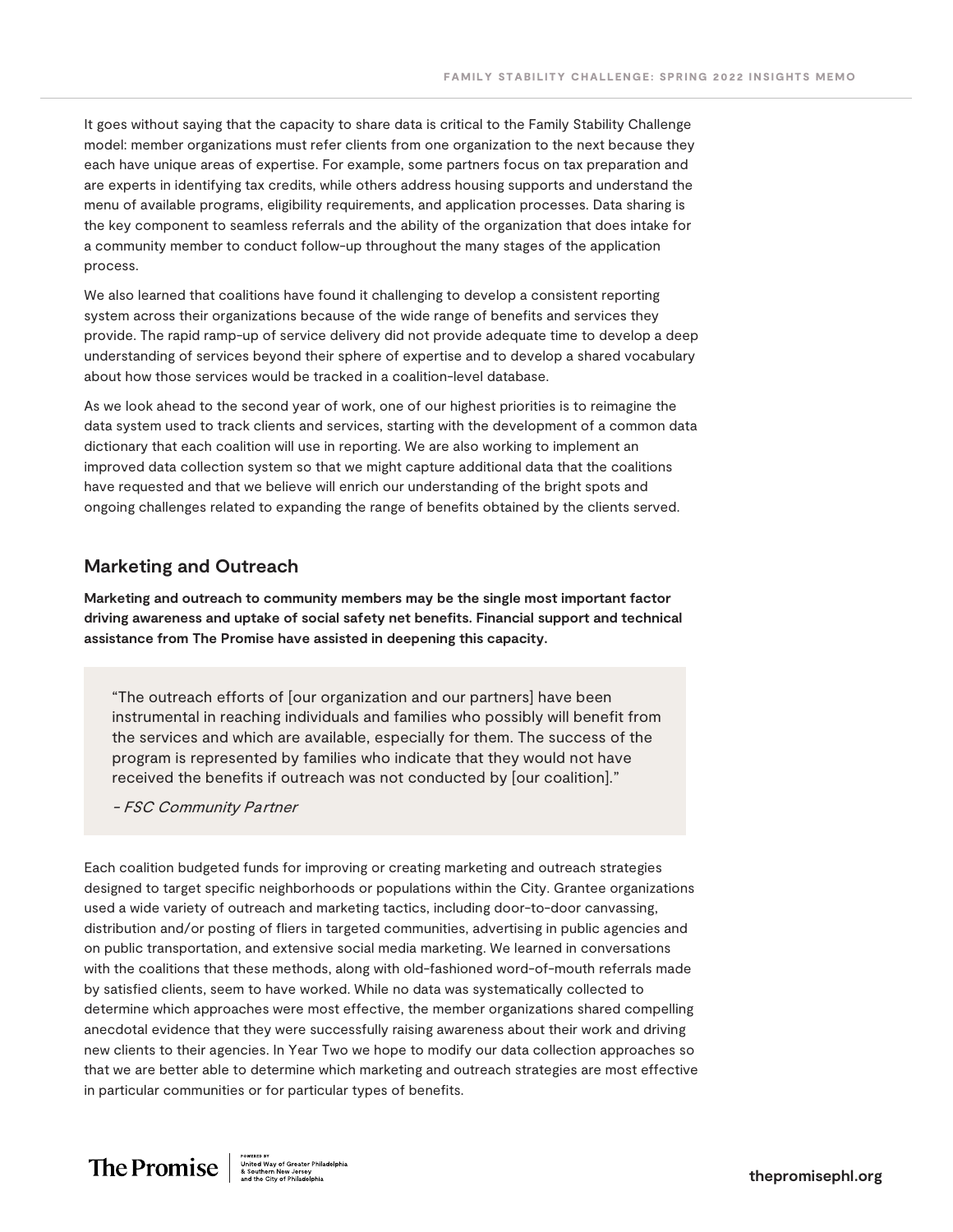It goes without saying that the capacity to share data is critical to the Family Stability Challenge model: member organizations must refer clients from one organization to the next because they each have unique areas of expertise. For example, some partners focus on tax preparation and are experts in identifying tax credits, while others address housing supports and understand the menu of available programs, eligibility requirements, and application processes. Data sharing is the key component to seamless referrals and the ability of the organization that does intake for a community member to conduct follow-up throughout the many stages of the application process.

We also learned that coalitions have found it challenging to develop a consistent reporting system across their organizations because of the wide range of benefits and services they provide. The rapid ramp-up of service delivery did not provide adequate time to develop a deep understanding of services beyond their sphere of expertise and to develop a shared vocabulary about how those services would be tracked in a coalition-level database.

As we look ahead to the second year of work, one of our highest priorities is to reimagine the data system used to track clients and services, starting with the development of a common data dictionary that each coalition will use in reporting. We are also working to implement an improved data collection system so that we might capture additional data that the coalitions have requested and that we believe will enrich our understanding of the bright spots and ongoing challenges related to expanding the range of benefits obtained by the clients served.

#### **Marketing and Outreach**

**Marketing and outreach to community members may be the single most important factor driving awareness and uptake of social safety net benefits. Financial support and technical assistance from The Promise have assisted in deepening this capacity.**

"The outreach efforts of [our organization and our partners] have been instrumental in reaching individuals and families who possibly will benefit from the services and which are available, especially for them. The success of the program is represented by families who indicate that they would not have received the benefits if outreach was not conducted by [our coalition]."

- FSC Community Partner

Each coalition budgeted funds for improving or creating marketing and outreach strategies designed to target specific neighborhoods or populations within the City. Grantee organizations used a wide variety of outreach and marketing tactics, including door-to-door canvassing, distribution and/or posting of fliers in targeted communities, advertising in public agencies and on public transportation, and extensive social media marketing. We learned in conversations with the coalitions that these methods, along with old-fashioned word-of-mouth referrals made by satisfied clients, seem to have worked. While no data was systematically collected to determine which approaches were most effective, the member organizations shared compelling anecdotal evidence that they were successfully raising awareness about their work and driving new clients to their agencies. In Year Two we hope to modify our data collection approaches so that we are better able to determine which marketing and outreach strategies are most effective in particular communities or for particular types of benefits.

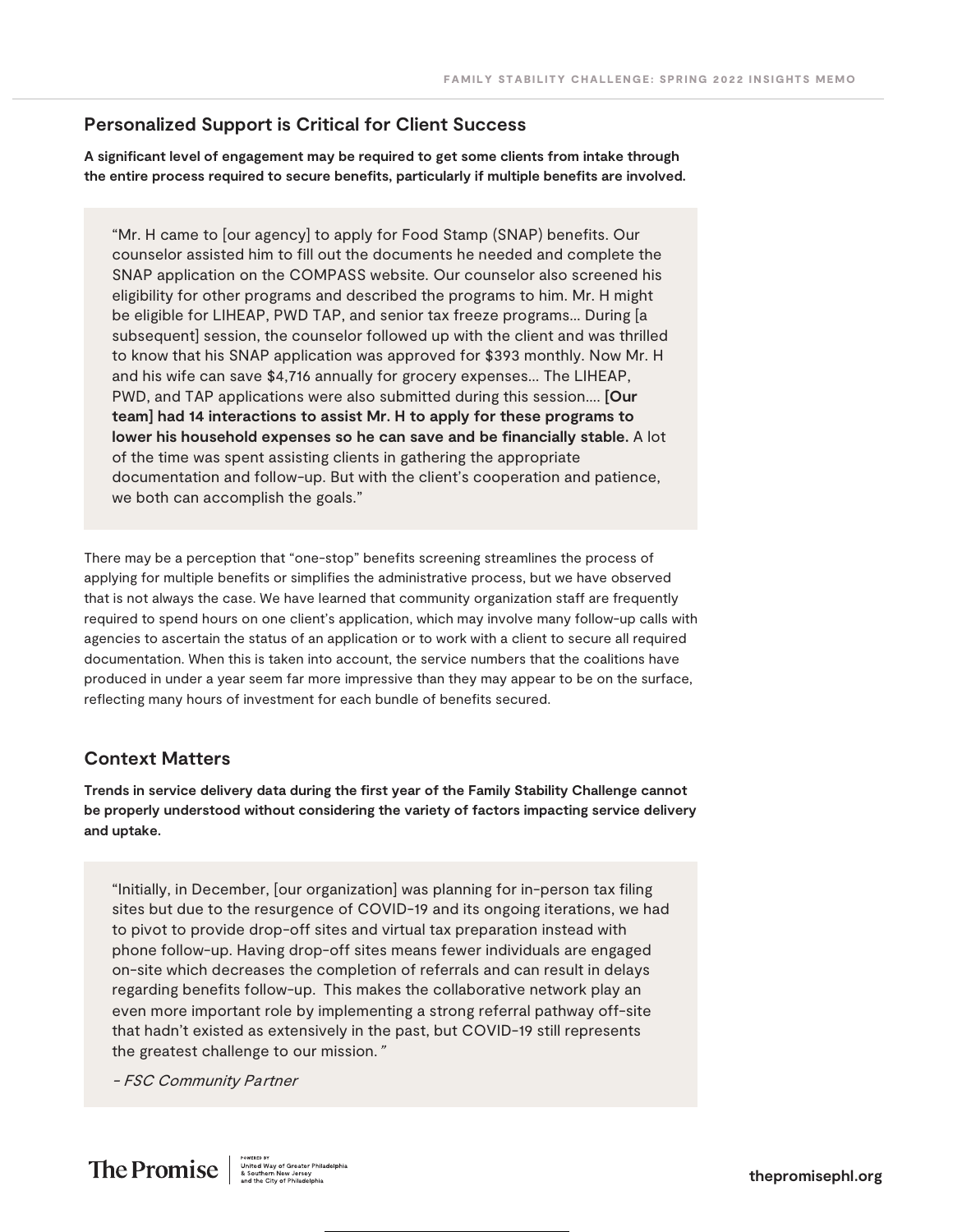#### **Personalized Support is Critical for Client Success**

**A significant level of engagement may be required to get some clients from intake through the entire process required to secure benefits, particularly if multiple benefits are involved.**

"Mr. H came to [our agency] to apply for Food Stamp (SNAP) benefits. Our counselor assisted him to fill out the documents he needed and complete the SNAP application on the COMPASS website. Our counselor also screened his eligibility for other programs and described the programs to him. Mr. H might be eligible for LIHEAP, PWD TAP, and senior tax freeze programs… During [a subsequent] session, the counselor followed up with the client and was thrilled to know that his SNAP application was approved for \$393 monthly. Now Mr. H and his wife can save \$4,716 annually for grocery expenses... The LIHEAP, PWD, and TAP applications were also submitted during this session…. **[Our team] had 14 interactions to assist Mr. H to apply for these programs to lower his household expenses so he can save and be financially stable.** A lot of the time was spent assisting clients in gathering the appropriate documentation and follow-up. But with the client's cooperation and patience, we both can accomplish the goals."

There may be a perception that "one-stop" benefits screening streamlines the process of applying for multiple benefits or simplifies the administrative process, but we have observed that is not always the case. We have learned that community organization staff are frequently required to spend hours on one client's application, which may involve many follow-up calls with agencies to ascertain the status of an application or to work with a client to secure all required documentation. When this is taken into account, the service numbers that the coalitions have produced in under a year seem far more impressive than they may appear to be on the surface, reflecting many hours of investment for each bundle of benefits secured.

#### **Context Matters**

**Trends in service delivery data during the first year of the Family Stability Challenge cannot be properly understood without considering the variety of factors impacting service delivery and uptake.**

"Initially, in December, [our organization] was planning for in-person tax filing sites but due to the resurgence of COVID-19 and its ongoing iterations, we had to pivot to provide drop-off sites and virtual tax preparation instead with phone follow-up. Having drop-off sites means fewer individuals are engaged on-site which decreases the completion of referrals and can result in delays regarding benefits follow-up. This makes the collaborative network play an even more important role by implementing a strong referral pathway off-site that hadn't existed as extensively in the past, but COVID-19 still represents the greatest challenge to our mission."

- FSC Community Partner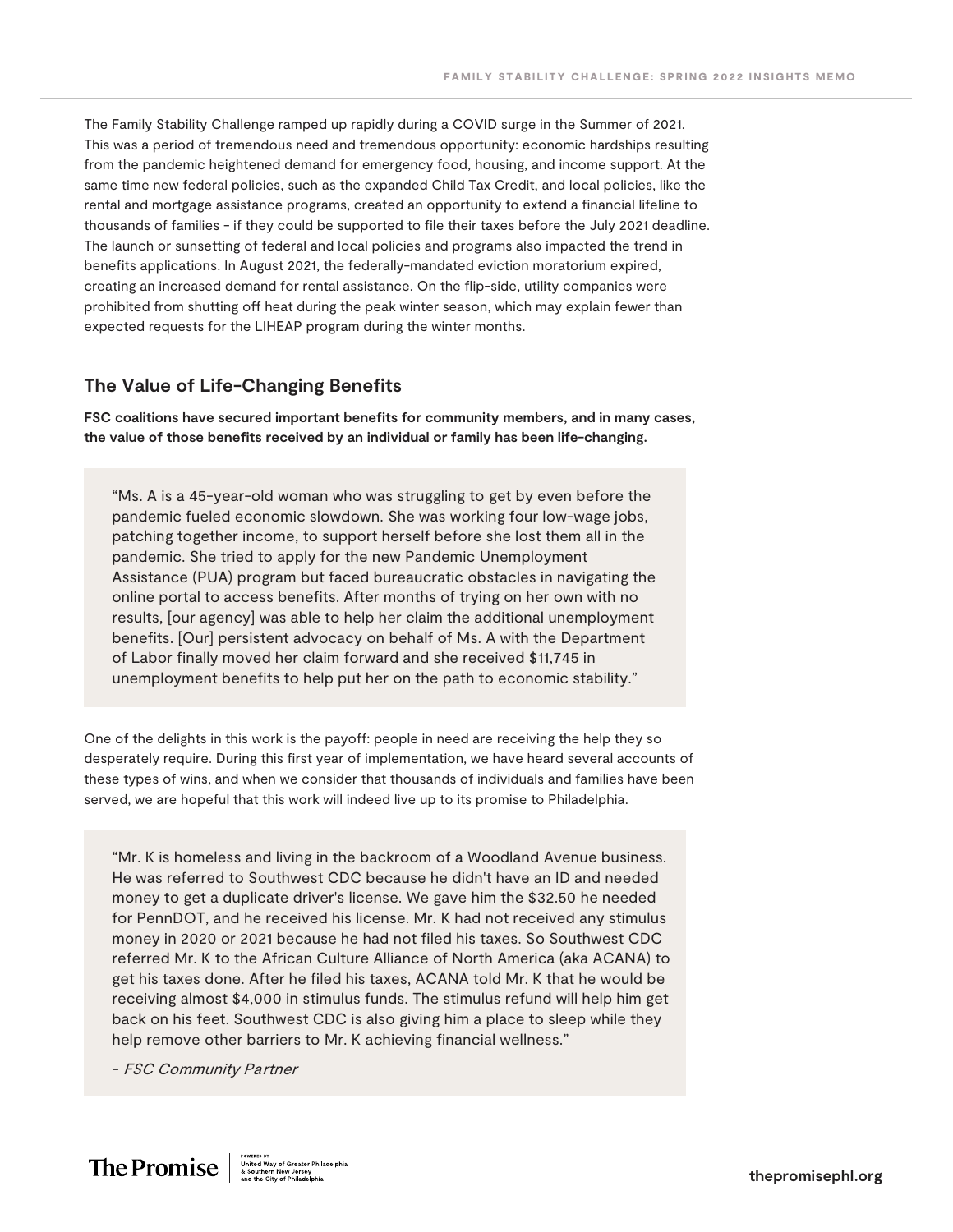The Family Stability Challenge ramped up rapidly during a COVID surge in the Summer of 2021. This was a period of tremendous need and tremendous opportunity: economic hardships resulting from the pandemic heightened demand for emergency food, housing, and income support. At the same time new federal policies, such as the expanded Child Tax Credit, and local policies, like the rental and mortgage assistance programs, created an opportunity to extend a financial lifeline to thousands of families - if they could be supported to file their taxes before the July 2021 deadline. The launch or sunsetting of federal and local policies and programs also impacted the trend in benefits applications. In August 2021, the federally-mandated eviction moratorium expired, creating an increased demand for rental assistance. On the flip-side, utility companies were prohibited from shutting off heat during the peak winter season, which may explain fewer than expected requests for the LIHEAP program during the winter months.

#### **The Value of Life-Changing Benefits**

**FSC coalitions have secured important benefits for community members, and in many cases, the value of those benefits received by an individual or family has been life-changing.**

"Ms. A is a 45-year-old woman who was struggling to get by even before the pandemic fueled economic slowdown. She was working four low-wage jobs, patching together income, to support herself before she lost them all in the pandemic. She tried to apply for the new Pandemic Unemployment Assistance (PUA) program but faced bureaucratic obstacles in navigating the online portal to access benefits. After months of trying on her own with no results, [our agency] was able to help her claim the additional unemployment benefits. [Our] persistent advocacy on behalf of Ms. A with the Department of Labor finally moved her claim forward and she received \$11,745 in unemployment benefits to help put her on the path to economic stability."

One of the delights in this work is the payoff: people in need are receiving the help they so desperately require. During this first year of implementation, we have heard several accounts of these types of wins, and when we consider that thousands of individuals and families have been served, we are hopeful that this work will indeed live up to its promise to Philadelphia.

"Mr. K is homeless and living in the backroom of a Woodland Avenue business. He was referred to Southwest CDC because he didn't have an ID and needed money to get a duplicate driver's license. We gave him the \$32.50 he needed for PennDOT, and he received his license. Mr. K had not received any stimulus money in 2020 or 2021 because he had not filed his taxes. So Southwest CDC referred Mr. K to the African Culture Alliance of North America (aka ACANA) to get his taxes done. After he filed his taxes, ACANA told Mr. K that he would be receiving almost \$4,000 in stimulus funds. The stimulus refund will help him get back on his feet. Southwest CDC is also giving him a place to sleep while they help remove other barriers to Mr. K achieving financial wellness."

- FSC Community Partner

 $\text{The Promise} \left\| \begin{array}{c} \text{powers on} \\ \text{United way of Greater Philadelphia} \\ \text{8 Southern New Jersey} \\ \text{and the City of Philadelphia} \end{array} \right\|$ 

**thepromisephl.org**